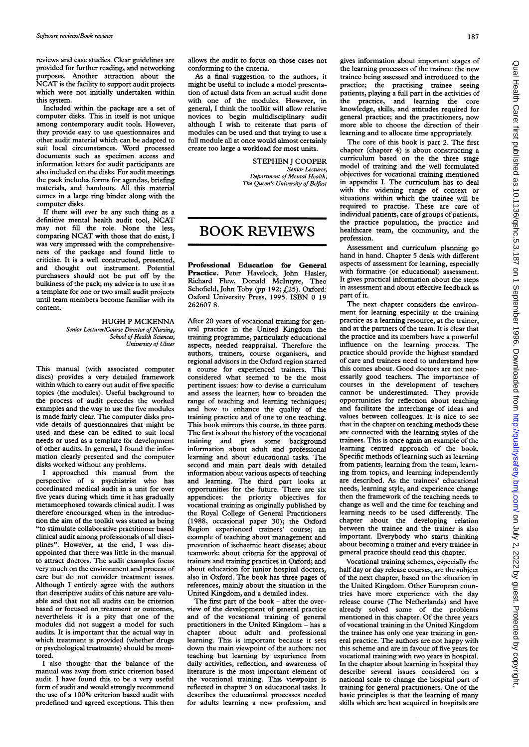reviews and case studies. Clear guidelines are provided for further reading, and networking purposes. Another attraction about the NCAT is the facility to support audit projects which were not initially undertaken within this system.

Included within the package are a set of computer disks. This in itself is not unique among contemporary audit tools. However, they provide easy to use questionnaires and other audit material which can be adapted to suit local circumstances. Word processed documents such as specimen access and information letters for audit participants are also included on the disks. For audit meetings the pack includes forms for agendas, briefing materials, and handouts. All this material comes in a large ring binder along with the computer disks.

If there will ever be any such thing as a definitive mental health audit tool, NCAT may not fill the role. None the less, comparing NCAT with those that do exist, <sup>I</sup> was very impressed with the comprehensiveness of the package and found little to criticise. It is a well constructed, presented, and thought out instrument. Potential purchasers should not be put off by the bulkiness of the pack; my advice is to use it as a template for one or two small audit projects until team members become familiar with its content.

## HUGH P MCKENNA

Senior Lecturer/Course Director of Nursing, School of Health Sciences, University of Ulster

This manual (with associated computer discs) provides a very detailed framework within which to carry out audit of five specific topics (the modules). Useful background to the process of audit precedes the worked examples and the way to use the five modules is made fairly clear. The computer disks provide details of questionnaires that might be used and these can be edited to suit local needs or used as a template for development of other audits. In general, <sup>I</sup> found the information clearly presented and the computer disks worked without any problems.

<sup>I</sup> approached this manual from the perspective of a psychiatrist who has coordinated medical audit in a unit for over five years during which time it has gradually metamorphosed towards clinical audit. <sup>I</sup> was therefore encouraged when in the introduction the aim of the toolkit was stated as being "to stimulate collaborative practitioner based clinical audit among professionals of all disciplines". However, at the end, <sup>I</sup> was disappointed that there was little in the manual to attract doctors. The audit examples focus very much on the environment and process of care but do not consider treatment issues. Although <sup>I</sup> entirely agree with the authors that descriptive audits of this nature are valuable and that not all audits can be criterion based or focused on treatment or outcomes, nevertheless it is a pity that one of the modules did not suggest a model for such audits. It is important that the actual way in which treatment is provided (whether drugs or psychological treatments) should be monitored.

<sup>I</sup> also thought that the balance of the manual was away from strict criterion based audit. <sup>I</sup> have found this to be a very useful form of audit and would strongly recommend the use of <sup>a</sup> 100% criterion based audit with predefined and agreed exceptions. This then allows the audit to focus on those cases not conforming to the criteria.

As a final suggestion to the authors, it might be useful to include a model presentation of actual data from an actual audit done with one of the modules. However, in general, I think the toolkit will allow relative novices to begin multidisciplinary audit although <sup>I</sup> wish to reiterate that parts of modules can be used and that trying to use a full module all at once would almost certainly create too large a workload for most units.

> STEPHEN <sup>J</sup> COOPER Senior Lecturer, Department of Mental Health, The Queen's University of Belfast

## BOOK REVIEWS

Professional Education for General Practice. Peter Havelock, John Hasler, Richard Flew, Donald McIntyre, Theo Schofield, John Toby (pp 192;  $f(25)$ . Oxford: Oxford University Press, 1995. ISBN 0 19 262607 8.

After 20 years of vocational training for general practice in the United Kingdom the training programme, particularly educational aspects, needed reappraisal. Therefore the authors, trainers, course organisers, and regional advisors in the Oxford region started a course for experienced trainers. This considered what seemed to be the most pertinent issues: how to devise <sup>a</sup> curriculum and assess the learner; how to broaden the range of teaching and learning techniques; and how to enhance the quality of the training practice and of one to one teaching. This book mirrors this course, in three parts. The first is about the history of the vocational training and gives some background information about adult and professional learning and about educational tasks. The second and main part deals with detailed information about various aspects of teaching and learning. The third part looks at opportunities for the future. There are six appendices: the priority objectives for vocational training as originally published by the Royal College of General Practitioners (1988, occasional paper 30); the Oxford Region experienced trainers' course; an example of teaching about management and prevention of ischaemic heart disease; about teamwork; about criteria for the approval of trainers and training practices in Oxford; and about education for junior hospital doctors, also in Oxford. The book has three pages of references, mainly about the situation in the United Kingdom, and a detailed index.

The first part of the book  $-$  after the overview of the development of general practice and of the vocational training of general practitioners in the United Kingdom - has a chapter about adult and professional learning. This is important because it sets down the main viewpoint of the authors: not teaching but learning by experience from daily activities, reflection, and awareness of literature is the most important element of the vocational training. This viewpoint is reflected in chapter 3 on educational tasks. It describes the educational processes needed for adults learning <sup>a</sup> new profession, and

gives information about important stages of the learning processes of the trainee: the new trainee being assessed and introduced to the practice; the practising trainee seeing patients, playing a full part in the activities of<br>the practice, and learning the core practice, and learning the core knowledge, skills, and attitudes required for general practice; and the practitioners, now more able to choose the direction of their learning and to allocate time appropriately.

The core of this book is part 2. The first chapter (chapter 4) is about constructing a curriculum based on the the three stage model of training and the well formulated objectives for vocational training mentioned in appendix I. The curriculum has to deal with the widening range of context or situations within which the trainee will be required to practise. These are care of individual patients, care of groups of patients, the practice population, the practice and healthcare team, the community, and the profession.

Assessment and curriculum planning go hand in hand. Chapter 5 deals with different aspects of assessment for learning, especially with formative (or educational) assessment. It gives practical information about the steps in assessment and about effective feedback as part of it.

The next chapter considers the environment for learning especially at the training practice as a learning resource, at the trainer, and at the partners of the team. It is clear that the practice and its members have a powerful influence on the learning process. The practice should provide the highest standard of care and trainees need to understand how this comes about. Good doctors are not necessarily good teachers. The importance of courses in the development of teachers cannot be underestimated. They provide opportunities for reflection about teaching and facilitate the interchange of ideas and values between colleagues. It is nice to see that in the chapter on teaching methods these are connected with the learning styles of the trainees. This is once again an example of the learning centred approach of the book. Specific methods of learning such as learning from patients, learning from the team, learning from topics, and learning independently are described. As the trainees' educational needs, learning style, and experience change then the framework of the teaching needs to change as well and the time for teaching and learning needs to be used differently. The chapter about the developing relation between the trainee and the trainer is also important. Everybody who starts thinking about becoming a trainer and every trainee in general practice should read this chapter.

Vocational training schemes, especially the half day or day release courses, are the subject of the next chapter, based on the situation in the United Kingdom. Other European countries have more experience with the day release course (The Netherlands) and have already solved some of the problems mentioned in this chapter. Of the three years of vocational training in the United Kingdom the trainee has only one year training in general practice. The authors are not happy with this scheme and are in favour of five years for vocational training with two years in hospital. In the chapter about learning in hospital they describe several issues considered on a national scale to change the hospital part of training for general practitioners. One of the basic principles is that the learning of many skills which are best acquired in hospitals are